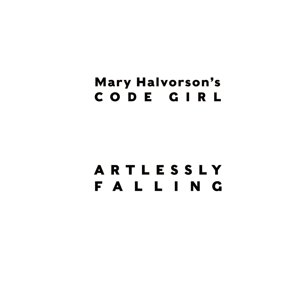# **Mary Halvorson's** CODE GIRL

# ARTLESSLY **FALLING**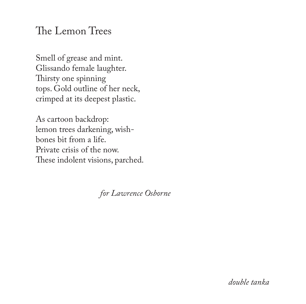#### The Lemon Trees

Smell of grease and mint. Glissando female laughter. Thirsty one spinning tops. Gold outline of her neck, crimped at its deepest plastic.

As cartoon backdrop: lemon trees darkening, wishbones bit from a life. Private crisis of the now. These indolent visions, parched.

 *for Lawrence Osborne*

*double tanka*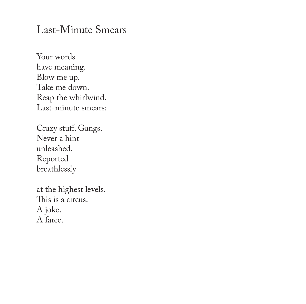#### Last-Minute Smears

Your words have meaning. Blow me up. Take me down. Reap the whirlwind. Last-minute smears:

Crazy stuff. Gangs. Never a hint unleashed. Reported breathlessly

at the highest levels. This is a circus. A joke. A farce.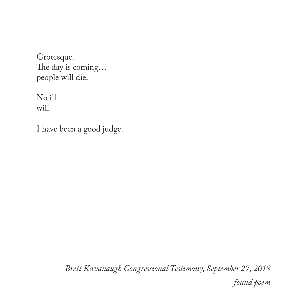Grotesque. The day is coming… people will die.

No ill will.

I have been a good judge.

*Brett Kavanaugh Congressional Testimony, September 27, 2018 found poem*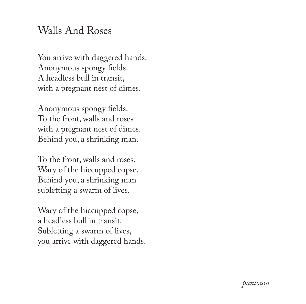#### Walls And Roses

You arrive with daggered hands. Anonymous spongy fields. A headless bull in transit, with a pregnant nest of dimes.

Anonymous spongy fields. To the front, walls and roses with a pregnant nest of dimes. Behind you, a shrinking man.

To the front, walls and roses. Wary of the hiccupped copse. Behind you, a shrinking man subletting a swarm of lives.

Wary of the hiccupped copse, a headless bull in transit. Subletting a swarm of lives, you arrive with daggered hands.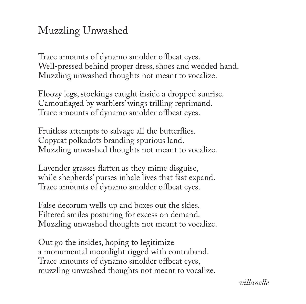# Muzzling Unwashed

Trace amounts of dynamo smolder offbeat eyes. Well-pressed behind proper dress, shoes and wedded hand. Muzzling unwashed thoughts not meant to vocalize.

Floozy legs, stockings caught inside a dropped sunrise. Camouflaged by warblers' wings trilling reprimand. Trace amounts of dynamo smolder offbeat eyes.

Fruitless attempts to salvage all the butterflies. Copycat polkadots branding spurious land. Muzzling unwashed thoughts not meant to vocalize.

Lavender grasses flatten as they mime disguise, while shepherds' purses inhale lives that fast expand. Trace amounts of dynamo smolder offbeat eyes.

False decorum wells up and boxes out the skies. Filtered smiles posturing for excess on demand. Muzzling unwashed thoughts not meant to vocalize.

Out go the insides, hoping to legitimize a monumental moonlight rigged with contraband. Trace amounts of dynamo smolder offbeat eyes, muzzling unwashed thoughts not meant to vocalize.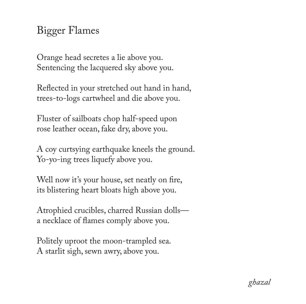# Bigger Flames

Orange head secretes a lie above you. Sentencing the lacquered sky above you.

Reflected in your stretched out hand in hand, trees-to-logs cartwheel and die above you.

Fluster of sailboats chop half-speed upon rose leather ocean, fake dry, above you.

A coy curtsying earthquake kneels the ground. Yo-yo-ing trees liquefy above you.

Well now it's your house, set neatly on fire, its blistering heart bloats high above you.

Atrophied crucibles, charred Russian dolls a necklace of flames comply above you.

Politely uproot the moon-trampled sea. A starlit sigh, sewn awry, above you.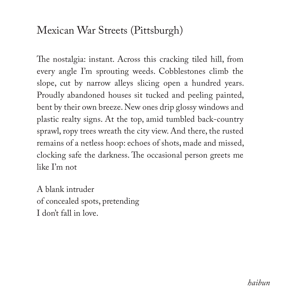## Mexican War Streets (Pittsburgh)

The nostalgia: instant. Across this cracking tiled hill, from every angle I'm sprouting weeds. Cobblestones climb the slope, cut by narrow alleys slicing open a hundred years. Proudly abandoned houses sit tucked and peeling painted, bent by their own breeze. New ones drip glossy windows and plastic realty signs. At the top, amid tumbled back-country sprawl, ropy trees wreath the city view. And there, the rusted remains of a netless hoop: echoes of shots, made and missed, clocking safe the darkness. The occasional person greets me like I'm not

A blank intruder of concealed spots, pretending I don't fall in love.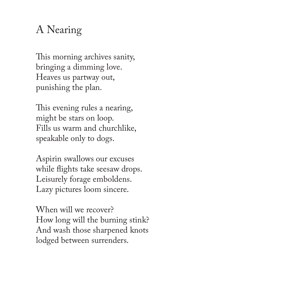# A Nearing

This morning archives sanity, bringing a dimming love. Heaves us partway out, punishing the plan.

This evening rules a nearing, might be stars on loop. Fills us warm and churchlike, speakable only to dogs.

Aspirin swallows our excuses while flights take seesaw drops. Leisurely forage emboldens. Lazy pictures loom sincere.

When will we recover? How long will the burning stink? And wash those sharpened knots lodged between surrenders.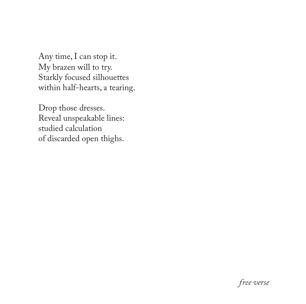Any time, I can stop it. My brazen will to try. Starkly focused silhouettes within half-hearts, a tearing.

Drop those dresses. Reveal unspeakable lines: studied calculation of discarded open thighs.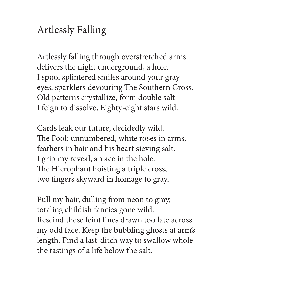#### Artlessly Falling

Artlessly falling through overstretched arms delivers the night underground, a hole. I spool splintered smiles around your gray eyes, sparklers devouring The Southern Cross. Old patterns crystallize, form double salt I feign to dissolve. Eighty-eight stars wild.

Cards leak our future, decidedly wild. The Fool: unnumbered, white roses in arms, feathers in hair and his heart sieving salt. I grip my reveal, an ace in the hole. The Hierophant hoisting a triple cross, two fingers skyward in homage to gray.

Pull my hair, dulling from neon to gray, totaling childish fancies gone wild. Rescind these feint lines drawn too late across my odd face. Keep the bubbling ghosts at arm's length. Find a last-ditch way to swallow whole the tastings of a life below the salt.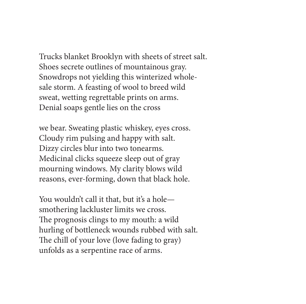Trucks blanket Brooklyn with sheets of street salt. Shoes secrete outlines of mountainous gray. Snowdrops not yielding this winterized wholesale storm. A feasting of wool to breed wild sweat, wetting regrettable prints on arms. Denial soaps gentle lies on the cross

we bear. Sweating plastic whiskey, eyes cross. Cloudy rim pulsing and happy with salt. Dizzy circles blur into two tonearms. Medicinal clicks squeeze sleep out of gray mourning windows. My clarity blows wild reasons, ever-forming, down that black hole.

You wouldn't call it that, but it's a hole smothering lackluster limits we cross. The prognosis clings to my mouth: a wild hurling of bottleneck wounds rubbed with salt. The chill of your love (love fading to gray) unfolds as a serpentine race of arms.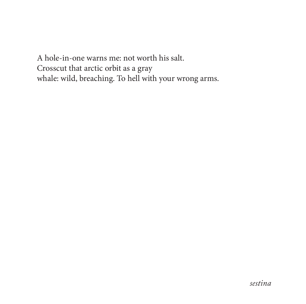A hole-in-one warns me: not worth his salt. Crosscut that arctic orbit as a gray whale: wild, breaching. To hell with your wrong arms.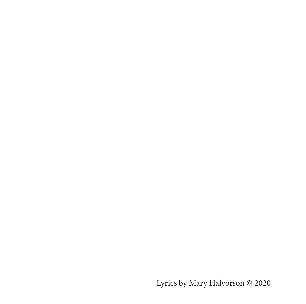Lyrics by Mary Halvorson © 2020